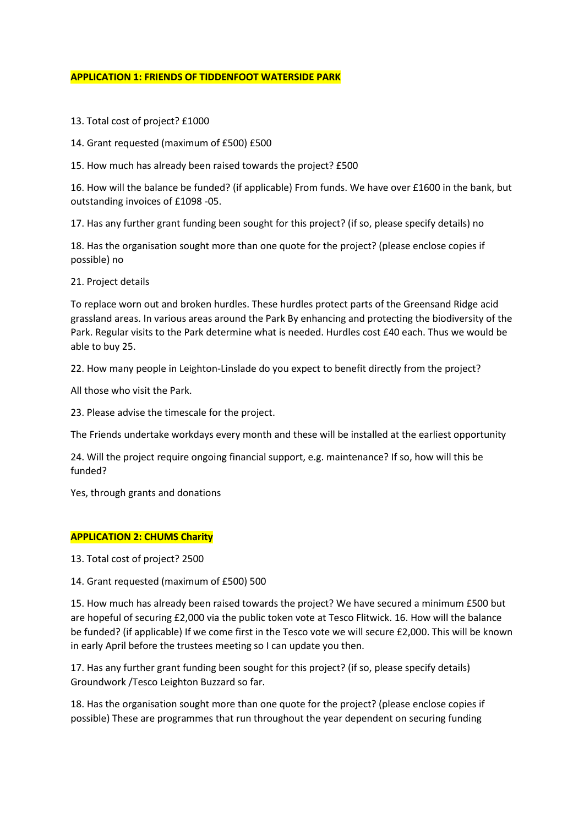#### **APPLICATION 1: FRIENDS OF TIDDENFOOT WATERSIDE PARK**

- 13. Total cost of project? £1000
- 14. Grant requested (maximum of £500) £500
- 15. How much has already been raised towards the project? £500

16. How will the balance be funded? (if applicable) From funds. We have over £1600 in the bank, but outstanding invoices of £1098 -05.

17. Has any further grant funding been sought for this project? (if so, please specify details) no

18. Has the organisation sought more than one quote for the project? (please enclose copies if possible) no

21. Project details

To replace worn out and broken hurdles. These hurdles protect parts of the Greensand Ridge acid grassland areas. In various areas around the Park By enhancing and protecting the biodiversity of the Park. Regular visits to the Park determine what is needed. Hurdles cost £40 each. Thus we would be able to buy 25.

22. How many people in Leighton-Linslade do you expect to benefit directly from the project?

All those who visit the Park.

23. Please advise the timescale for the project.

The Friends undertake workdays every month and these will be installed at the earliest opportunity

24. Will the project require ongoing financial support, e.g. maintenance? If so, how will this be funded?

Yes, through grants and donations

### **APPLICATION 2: CHUMS Charity**

13. Total cost of project? 2500

14. Grant requested (maximum of £500) 500

15. How much has already been raised towards the project? We have secured a minimum £500 but are hopeful of securing £2,000 via the public token vote at Tesco Flitwick. 16. How will the balance be funded? (if applicable) If we come first in the Tesco vote we will secure £2,000. This will be known in early April before the trustees meeting so I can update you then.

17. Has any further grant funding been sought for this project? (if so, please specify details) Groundwork /Tesco Leighton Buzzard so far.

18. Has the organisation sought more than one quote for the project? (please enclose copies if possible) These are programmes that run throughout the year dependent on securing funding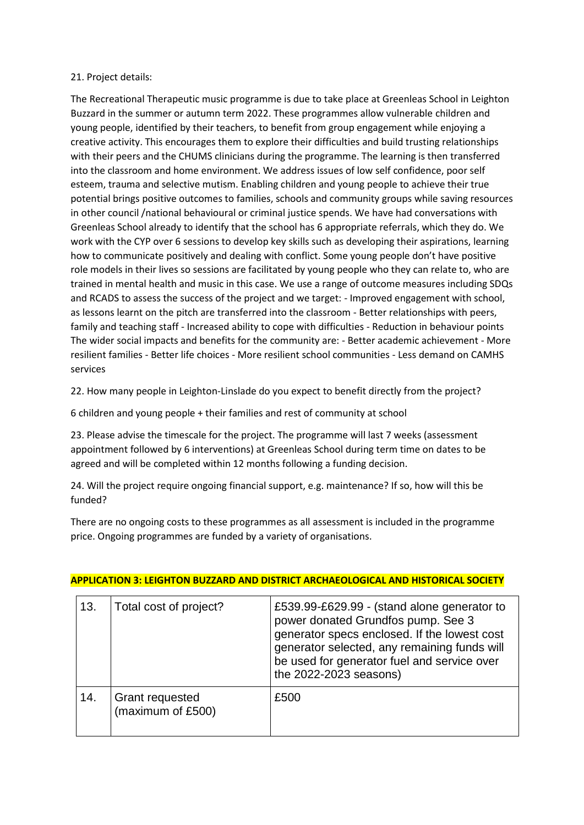### 21. Project details:

The Recreational Therapeutic music programme is due to take place at Greenleas School in Leighton Buzzard in the summer or autumn term 2022. These programmes allow vulnerable children and young people, identified by their teachers, to benefit from group engagement while enjoying a creative activity. This encourages them to explore their difficulties and build trusting relationships with their peers and the CHUMS clinicians during the programme. The learning is then transferred into the classroom and home environment. We address issues of low self confidence, poor self esteem, trauma and selective mutism. Enabling children and young people to achieve their true potential brings positive outcomes to families, schools and community groups while saving resources in other council /national behavioural or criminal justice spends. We have had conversations with Greenleas School already to identify that the school has 6 appropriate referrals, which they do. We work with the CYP over 6 sessions to develop key skills such as developing their aspirations, learning how to communicate positively and dealing with conflict. Some young people don't have positive role models in their lives so sessions are facilitated by young people who they can relate to, who are trained in mental health and music in this case. We use a range of outcome measures including SDQs and RCADS to assess the success of the project and we target: - Improved engagement with school, as lessons learnt on the pitch are transferred into the classroom - Better relationships with peers, family and teaching staff - Increased ability to cope with difficulties - Reduction in behaviour points The wider social impacts and benefits for the community are: - Better academic achievement - More resilient families - Better life choices - More resilient school communities - Less demand on CAMHS services

22. How many people in Leighton-Linslade do you expect to benefit directly from the project?

6 children and young people + their families and rest of community at school

23. Please advise the timescale for the project. The programme will last 7 weeks (assessment appointment followed by 6 interventions) at Greenleas School during term time on dates to be agreed and will be completed within 12 months following a funding decision.

24. Will the project require ongoing financial support, e.g. maintenance? If so, how will this be funded?

There are no ongoing costs to these programmes as all assessment is included in the programme price. Ongoing programmes are funded by a variety of organisations.

| 13. | Total cost of project?                      | £539.99-£629.99 - (stand alone generator to<br>power donated Grundfos pump. See 3<br>generator specs enclosed. If the lowest cost<br>generator selected, any remaining funds will<br>be used for generator fuel and service over<br>the 2022-2023 seasons) |
|-----|---------------------------------------------|------------------------------------------------------------------------------------------------------------------------------------------------------------------------------------------------------------------------------------------------------------|
| 14. | <b>Grant requested</b><br>(maximum of £500) | £500                                                                                                                                                                                                                                                       |

# **APPLICATION 3: LEIGHTON BUZZARD AND DISTRICT ARCHAEOLOGICAL AND HISTORICAL SOCIETY**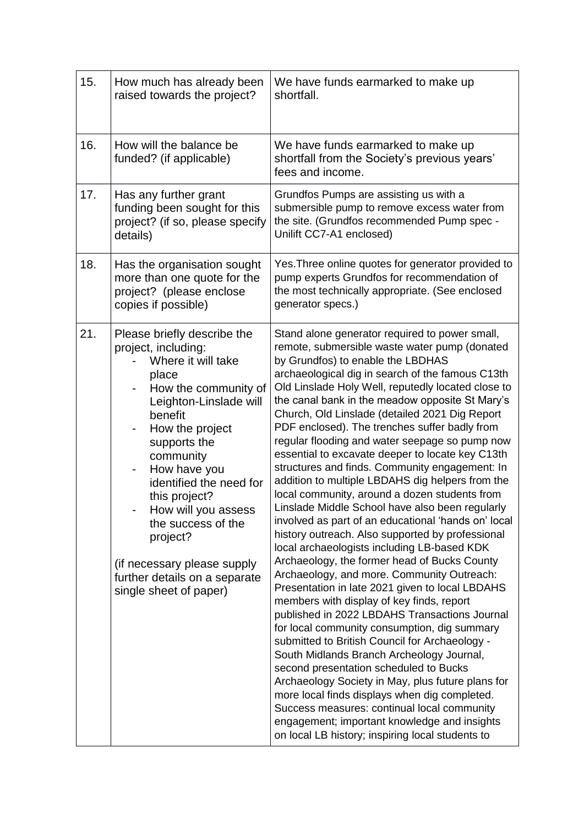| 15. | How much has already been<br>raised towards the project?                                                                                                                                                                                                                                                                                                                                                           | We have funds earmarked to make up<br>shortfall.                                                                                                                                                                                                                                                                                                                                                                                                                                                                                                                                                                                                                                                                                                                                                                                                                                                                                                                                                                                                                                                                                                                                                                                                                                                                                                                                                                                                                                                                                                                                |
|-----|--------------------------------------------------------------------------------------------------------------------------------------------------------------------------------------------------------------------------------------------------------------------------------------------------------------------------------------------------------------------------------------------------------------------|---------------------------------------------------------------------------------------------------------------------------------------------------------------------------------------------------------------------------------------------------------------------------------------------------------------------------------------------------------------------------------------------------------------------------------------------------------------------------------------------------------------------------------------------------------------------------------------------------------------------------------------------------------------------------------------------------------------------------------------------------------------------------------------------------------------------------------------------------------------------------------------------------------------------------------------------------------------------------------------------------------------------------------------------------------------------------------------------------------------------------------------------------------------------------------------------------------------------------------------------------------------------------------------------------------------------------------------------------------------------------------------------------------------------------------------------------------------------------------------------------------------------------------------------------------------------------------|
| 16. | How will the balance be<br>funded? (if applicable)                                                                                                                                                                                                                                                                                                                                                                 | We have funds earmarked to make up<br>shortfall from the Society's previous years'<br>fees and income.                                                                                                                                                                                                                                                                                                                                                                                                                                                                                                                                                                                                                                                                                                                                                                                                                                                                                                                                                                                                                                                                                                                                                                                                                                                                                                                                                                                                                                                                          |
| 17. | Has any further grant<br>funding been sought for this<br>project? (if so, please specify<br>details)                                                                                                                                                                                                                                                                                                               | Grundfos Pumps are assisting us with a<br>submersible pump to remove excess water from<br>the site. (Grundfos recommended Pump spec -<br>Unilift CC7-A1 enclosed)                                                                                                                                                                                                                                                                                                                                                                                                                                                                                                                                                                                                                                                                                                                                                                                                                                                                                                                                                                                                                                                                                                                                                                                                                                                                                                                                                                                                               |
| 18. | Has the organisation sought<br>more than one quote for the<br>project? (please enclose<br>copies if possible)                                                                                                                                                                                                                                                                                                      | Yes. Three online quotes for generator provided to<br>pump experts Grundfos for recommendation of<br>the most technically appropriate. (See enclosed<br>generator specs.)                                                                                                                                                                                                                                                                                                                                                                                                                                                                                                                                                                                                                                                                                                                                                                                                                                                                                                                                                                                                                                                                                                                                                                                                                                                                                                                                                                                                       |
| 21. | Please briefly describe the<br>project, including:<br>Where it will take<br>place<br>How the community of<br>Leighton-Linslade will<br>benefit<br>How the project<br>supports the<br>community<br>How have you<br>-<br>identified the need for<br>this project?<br>How will you assess<br>the success of the<br>project?<br>(if necessary please supply<br>further details on a separate<br>single sheet of paper) | Stand alone generator required to power small,<br>remote, submersible waste water pump (donated<br>by Grundfos) to enable the LBDHAS<br>archaeological dig in search of the famous C13th<br>Old Linslade Holy Well, reputedly located close to<br>the canal bank in the meadow opposite St Mary's<br>Church, Old Linslade (detailed 2021 Dig Report<br>PDF enclosed). The trenches suffer badly from<br>regular flooding and water seepage so pump now<br>essential to excavate deeper to locate key C13th<br>structures and finds. Community engagement: In<br>addition to multiple LBDAHS dig helpers from the<br>local community, around a dozen students from<br>Linslade Middle School have also been regularly<br>involved as part of an educational 'hands on' local<br>history outreach. Also supported by professional<br>local archaeologists including LB-based KDK<br>Archaeology, the former head of Bucks County<br>Archaeology, and more. Community Outreach:<br>Presentation in late 2021 given to local LBDAHS<br>members with display of key finds, report<br>published in 2022 LBDAHS Transactions Journal<br>for local community consumption, dig summary<br>submitted to British Council for Archaeology -<br>South Midlands Branch Archeology Journal,<br>second presentation scheduled to Bucks<br>Archaeology Society in May, plus future plans for<br>more local finds displays when dig completed.<br>Success measures: continual local community<br>engagement; important knowledge and insights<br>on local LB history; inspiring local students to |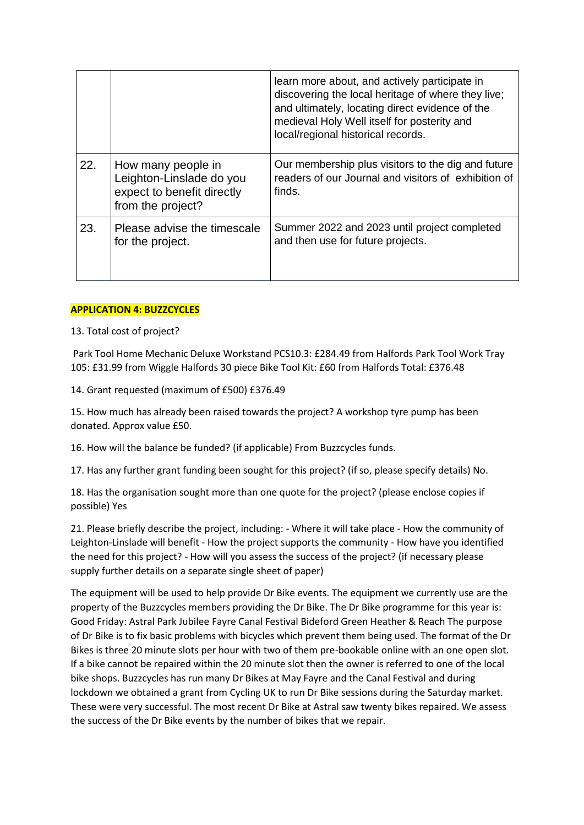|     |                                                                                                   | learn more about, and actively participate in<br>discovering the local heritage of where they live;<br>and ultimately, locating direct evidence of the<br>medieval Holy Well itself for posterity and<br>local/regional historical records. |
|-----|---------------------------------------------------------------------------------------------------|---------------------------------------------------------------------------------------------------------------------------------------------------------------------------------------------------------------------------------------------|
| 22. | How many people in<br>Leighton-Linslade do you<br>expect to benefit directly<br>from the project? | Our membership plus visitors to the dig and future<br>readers of our Journal and visitors of exhibition of<br>finds.                                                                                                                        |
| 23. | Please advise the timescale<br>for the project.                                                   | Summer 2022 and 2023 until project completed<br>and then use for future projects.                                                                                                                                                           |

## **APPLICATION 4: BUZZCYCLES**

13. Total cost of project?

Park Tool Home Mechanic Deluxe Workstand PCS10.3: £284.49 from Halfords Park Tool Work Tray 105: £31.99 from Wiggle Halfords 30 piece Bike Tool Kit: £60 from Halfords Total: £376.48

14. Grant requested (maximum of £500) £376.49

15. How much has already been raised towards the project? A workshop tyre pump has been donated. Approx value £50.

16. How will the balance be funded? (if applicable) From Buzzcycles funds.

17. Has any further grant funding been sought for this project? (if so, please specify details) No.

18. Has the organisation sought more than one quote for the project? (please enclose copies if possible) Yes

21. Please briefly describe the project, including: - Where it will take place - How the community of Leighton-Linslade will benefit - How the project supports the community - How have you identified the need for this project? - How will you assess the success of the project? (if necessary please supply further details on a separate single sheet of paper)

The equipment will be used to help provide Dr Bike events. The equipment we currently use are the property of the Buzzcycles members providing the Dr Bike. The Dr Bike programme for this year is: Good Friday: Astral Park Jubilee Fayre Canal Festival Bideford Green Heather & Reach The purpose of Dr Bike is to fix basic problems with bicycles which prevent them being used. The format of the Dr Bikes is three 20 minute slots per hour with two of them pre-bookable online with an one open slot. If a bike cannot be repaired within the 20 minute slot then the owner is referred to one of the local bike shops. Buzzcycles has run many Dr Bikes at May Fayre and the Canal Festival and during lockdown we obtained a grant from Cycling UK to run Dr Bike sessions during the Saturday market. These were very successful. The most recent Dr Bike at Astral saw twenty bikes repaired. We assess the success of the Dr Bike events by the number of bikes that we repair.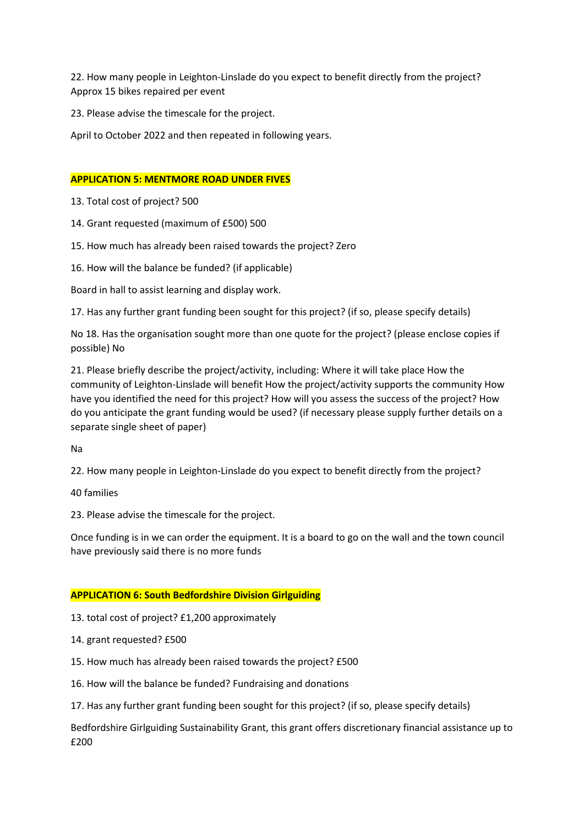22. How many people in Leighton-Linslade do you expect to benefit directly from the project? Approx 15 bikes repaired per event

23. Please advise the timescale for the project.

April to October 2022 and then repeated in following years.

### **APPLICATION 5: MENTMORE ROAD UNDER FIVES**

13. Total cost of project? 500

14. Grant requested (maximum of £500) 500

15. How much has already been raised towards the project? Zero

16. How will the balance be funded? (if applicable)

Board in hall to assist learning and display work.

17. Has any further grant funding been sought for this project? (if so, please specify details)

No 18. Has the organisation sought more than one quote for the project? (please enclose copies if possible) No

21. Please briefly describe the project/activity, including: Where it will take place How the community of Leighton-Linslade will benefit How the project/activity supports the community How have you identified the need for this project? How will you assess the success of the project? How do you anticipate the grant funding would be used? (if necessary please supply further details on a separate single sheet of paper)

Na

22. How many people in Leighton-Linslade do you expect to benefit directly from the project?

40 families

23. Please advise the timescale for the project.

Once funding is in we can order the equipment. It is a board to go on the wall and the town council have previously said there is no more funds

### **APPLICATION 6: South Bedfordshire Division Girlguiding**

13. total cost of project? £1,200 approximately

14. grant requested? £500

15. How much has already been raised towards the project? £500

16. How will the balance be funded? Fundraising and donations

17. Has any further grant funding been sought for this project? (if so, please specify details)

Bedfordshire Girlguiding Sustainability Grant, this grant offers discretionary financial assistance up to £200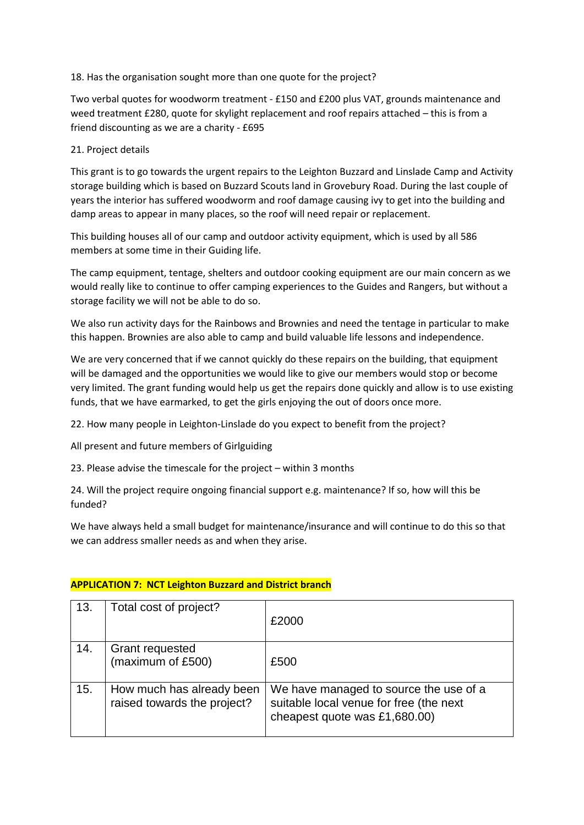## 18. Has the organisation sought more than one quote for the project?

Two verbal quotes for woodworm treatment - £150 and £200 plus VAT, grounds maintenance and weed treatment £280, quote for skylight replacement and roof repairs attached – this is from a friend discounting as we are a charity - £695

## 21. Project details

This grant is to go towards the urgent repairs to the Leighton Buzzard and Linslade Camp and Activity storage building which is based on Buzzard Scouts land in Grovebury Road. During the last couple of years the interior has suffered woodworm and roof damage causing ivy to get into the building and damp areas to appear in many places, so the roof will need repair or replacement.

This building houses all of our camp and outdoor activity equipment, which is used by all 586 members at some time in their Guiding life.

The camp equipment, tentage, shelters and outdoor cooking equipment are our main concern as we would really like to continue to offer camping experiences to the Guides and Rangers, but without a storage facility we will not be able to do so.

We also run activity days for the Rainbows and Brownies and need the tentage in particular to make this happen. Brownies are also able to camp and build valuable life lessons and independence.

We are very concerned that if we cannot quickly do these repairs on the building, that equipment will be damaged and the opportunities we would like to give our members would stop or become very limited. The grant funding would help us get the repairs done quickly and allow is to use existing funds, that we have earmarked, to get the girls enjoying the out of doors once more.

22. How many people in Leighton-Linslade do you expect to benefit from the project?

All present and future members of Girlguiding

23. Please advise the timescale for the project – within 3 months

24. Will the project require ongoing financial support e.g. maintenance? If so, how will this be funded?

We have always held a small budget for maintenance/insurance and will continue to do this so that we can address smaller needs as and when they arise.

| 13. | Total cost of project?                                   | £2000                                                                                                              |
|-----|----------------------------------------------------------|--------------------------------------------------------------------------------------------------------------------|
| 14. | Grant requested<br>(maximum of £500)                     | £500                                                                                                               |
| 15. | How much has already been<br>raised towards the project? | We have managed to source the use of a<br>suitable local venue for free (the next<br>cheapest quote was £1,680.00) |

# **APPLICATION 7: NCT Leighton Buzzard and District branch**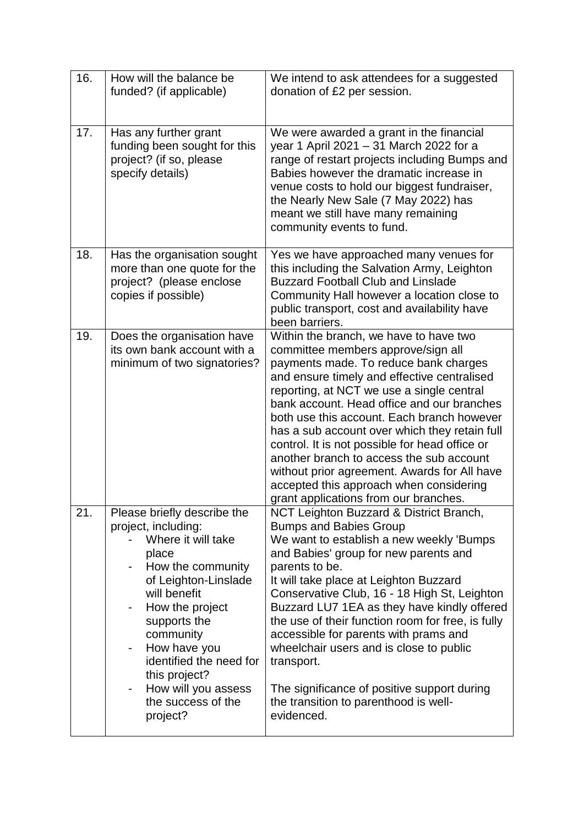| 16. | How will the balance be<br>funded? (if applicable)                                                                                                                                                                                                                                                                                                   | We intend to ask attendees for a suggested<br>donation of £2 per session.                                                                                                                                                                                                                                                                                                                                                                                                                                                                                                                        |
|-----|------------------------------------------------------------------------------------------------------------------------------------------------------------------------------------------------------------------------------------------------------------------------------------------------------------------------------------------------------|--------------------------------------------------------------------------------------------------------------------------------------------------------------------------------------------------------------------------------------------------------------------------------------------------------------------------------------------------------------------------------------------------------------------------------------------------------------------------------------------------------------------------------------------------------------------------------------------------|
| 17. | Has any further grant<br>funding been sought for this<br>project? (if so, please<br>specify details)                                                                                                                                                                                                                                                 | We were awarded a grant in the financial<br>year 1 April 2021 - 31 March 2022 for a<br>range of restart projects including Bumps and<br>Babies however the dramatic increase in<br>venue costs to hold our biggest fundraiser,<br>the Nearly New Sale (7 May 2022) has<br>meant we still have many remaining<br>community events to fund.                                                                                                                                                                                                                                                        |
| 18. | Has the organisation sought<br>more than one quote for the<br>project? (please enclose<br>copies if possible)                                                                                                                                                                                                                                        | Yes we have approached many venues for<br>this including the Salvation Army, Leighton<br><b>Buzzard Football Club and Linslade</b><br>Community Hall however a location close to<br>public transport, cost and availability have<br>been barriers.                                                                                                                                                                                                                                                                                                                                               |
| 19. | Does the organisation have<br>its own bank account with a<br>minimum of two signatories?                                                                                                                                                                                                                                                             | Within the branch, we have to have two<br>committee members approve/sign all<br>payments made. To reduce bank charges<br>and ensure timely and effective centralised<br>reporting, at NCT we use a single central<br>bank account. Head office and our branches<br>both use this account. Each branch however<br>has a sub account over which they retain full<br>control. It is not possible for head office or<br>another branch to access the sub account<br>without prior agreement. Awards for All have<br>accepted this approach when considering<br>grant applications from our branches. |
| 21. | Please briefly describe the<br>project, including:<br>Where it will take<br>place<br>How the community<br>of Leighton-Linslade<br>will benefit<br>How the project<br>supports the<br>community<br>How have you<br>-<br>identified the need for<br>this project?<br>How will you assess<br>$\overline{\phantom{0}}$<br>the success of the<br>project? | NCT Leighton Buzzard & District Branch,<br><b>Bumps and Babies Group</b><br>We want to establish a new weekly 'Bumps<br>and Babies' group for new parents and<br>parents to be.<br>It will take place at Leighton Buzzard<br>Conservative Club, 16 - 18 High St, Leighton<br>Buzzard LU7 1EA as they have kindly offered<br>the use of their function room for free, is fully<br>accessible for parents with prams and<br>wheelchair users and is close to public<br>transport.<br>The significance of positive support during<br>the transition to parenthood is well-<br>evidenced.            |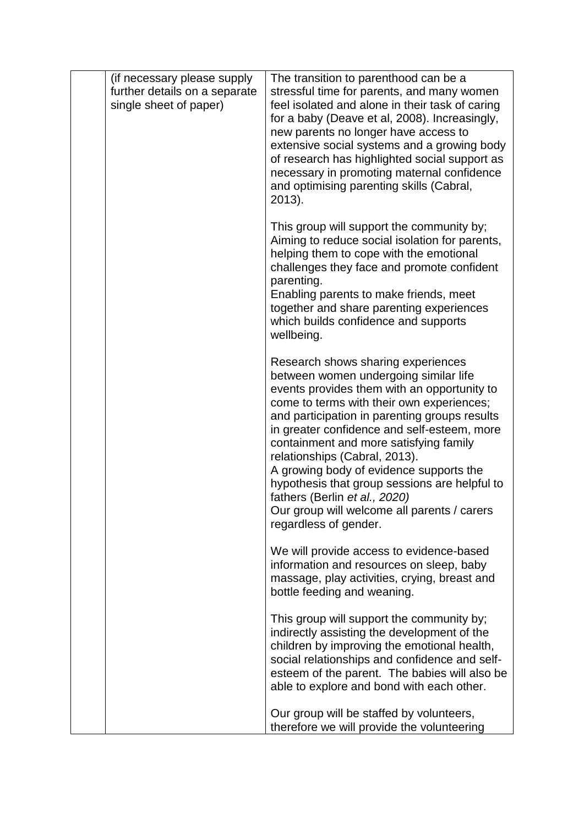| (if necessary please supply<br>further details on a separate<br>single sheet of paper) | The transition to parenthood can be a<br>stressful time for parents, and many women<br>feel isolated and alone in their task of caring<br>for a baby (Deave et al, 2008). Increasingly,<br>new parents no longer have access to<br>extensive social systems and a growing body<br>of research has highlighted social support as<br>necessary in promoting maternal confidence<br>and optimising parenting skills (Cabral,<br>$2013$ ).                                                                                                                  |
|----------------------------------------------------------------------------------------|---------------------------------------------------------------------------------------------------------------------------------------------------------------------------------------------------------------------------------------------------------------------------------------------------------------------------------------------------------------------------------------------------------------------------------------------------------------------------------------------------------------------------------------------------------|
|                                                                                        | This group will support the community by;<br>Aiming to reduce social isolation for parents,<br>helping them to cope with the emotional<br>challenges they face and promote confident<br>parenting.<br>Enabling parents to make friends, meet<br>together and share parenting experiences<br>which builds confidence and supports<br>wellbeing.                                                                                                                                                                                                          |
|                                                                                        | Research shows sharing experiences<br>between women undergoing similar life<br>events provides them with an opportunity to<br>come to terms with their own experiences;<br>and participation in parenting groups results<br>in greater confidence and self-esteem, more<br>containment and more satisfying family<br>relationships (Cabral, 2013).<br>A growing body of evidence supports the<br>hypothesis that group sessions are helpful to<br>fathers (Berlin et al., 2020)<br>Our group will welcome all parents / carers<br>regardless of gender. |
|                                                                                        | We will provide access to evidence-based<br>information and resources on sleep, baby<br>massage, play activities, crying, breast and<br>bottle feeding and weaning.                                                                                                                                                                                                                                                                                                                                                                                     |
|                                                                                        | This group will support the community by;<br>indirectly assisting the development of the<br>children by improving the emotional health,<br>social relationships and confidence and self-<br>esteem of the parent. The babies will also be<br>able to explore and bond with each other.                                                                                                                                                                                                                                                                  |
|                                                                                        | Our group will be staffed by volunteers,<br>therefore we will provide the volunteering                                                                                                                                                                                                                                                                                                                                                                                                                                                                  |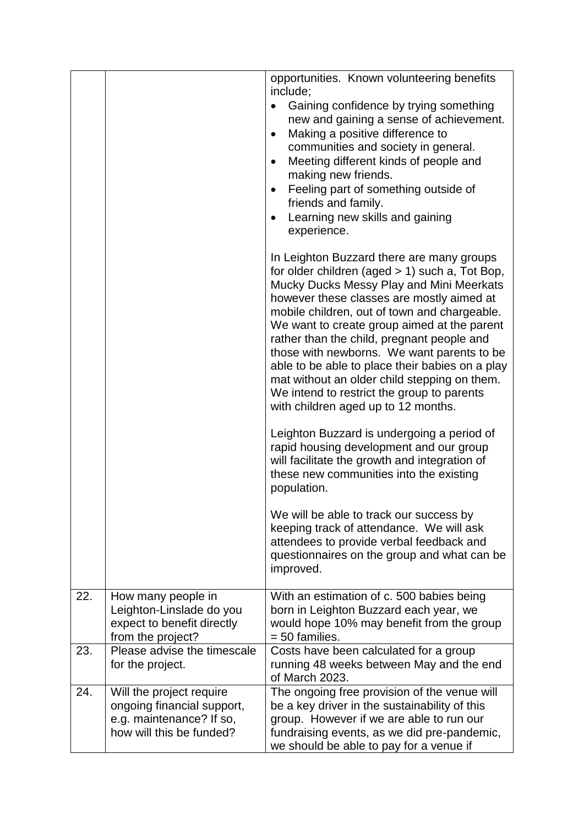|     |                                                                                                                | opportunities. Known volunteering benefits<br>include;<br>Gaining confidence by trying something<br>$\bullet$<br>new and gaining a sense of achievement.<br>Making a positive difference to<br>$\bullet$<br>communities and society in general.<br>Meeting different kinds of people and<br>$\bullet$<br>making new friends.<br>Feeling part of something outside of<br>$\bullet$<br>friends and family.<br>Learning new skills and gaining<br>$\bullet$<br>experience.<br>In Leighton Buzzard there are many groups<br>for older children (aged > 1) such a, Tot Bop,<br>Mucky Ducks Messy Play and Mini Meerkats<br>however these classes are mostly aimed at<br>mobile children, out of town and chargeable.<br>We want to create group aimed at the parent<br>rather than the child, pregnant people and<br>those with newborns. We want parents to be<br>able to be able to place their babies on a play<br>mat without an older child stepping on them.<br>We intend to restrict the group to parents<br>with children aged up to 12 months.<br>Leighton Buzzard is undergoing a period of<br>rapid housing development and our group<br>will facilitate the growth and integration of<br>these new communities into the existing<br>population.<br>We will be able to track our success by<br>keeping track of attendance. We will ask<br>attendees to provide verbal feedback and<br>questionnaires on the group and what can be<br>improved. |
|-----|----------------------------------------------------------------------------------------------------------------|-------------------------------------------------------------------------------------------------------------------------------------------------------------------------------------------------------------------------------------------------------------------------------------------------------------------------------------------------------------------------------------------------------------------------------------------------------------------------------------------------------------------------------------------------------------------------------------------------------------------------------------------------------------------------------------------------------------------------------------------------------------------------------------------------------------------------------------------------------------------------------------------------------------------------------------------------------------------------------------------------------------------------------------------------------------------------------------------------------------------------------------------------------------------------------------------------------------------------------------------------------------------------------------------------------------------------------------------------------------------------------------------------------------------------------------------------------|
| 22. | How many people in<br>Leighton-Linslade do you<br>expect to benefit directly<br>from the project?              | With an estimation of c. 500 babies being<br>born in Leighton Buzzard each year, we<br>would hope 10% may benefit from the group<br>= 50 families.                                                                                                                                                                                                                                                                                                                                                                                                                                                                                                                                                                                                                                                                                                                                                                                                                                                                                                                                                                                                                                                                                                                                                                                                                                                                                                    |
| 23. | Please advise the timescale<br>for the project.                                                                | Costs have been calculated for a group<br>running 48 weeks between May and the end<br>of March 2023.                                                                                                                                                                                                                                                                                                                                                                                                                                                                                                                                                                                                                                                                                                                                                                                                                                                                                                                                                                                                                                                                                                                                                                                                                                                                                                                                                  |
| 24. | Will the project require<br>ongoing financial support,<br>e.g. maintenance? If so,<br>how will this be funded? | The ongoing free provision of the venue will<br>be a key driver in the sustainability of this<br>group. However if we are able to run our<br>fundraising events, as we did pre-pandemic,<br>we should be able to pay for a venue if                                                                                                                                                                                                                                                                                                                                                                                                                                                                                                                                                                                                                                                                                                                                                                                                                                                                                                                                                                                                                                                                                                                                                                                                                   |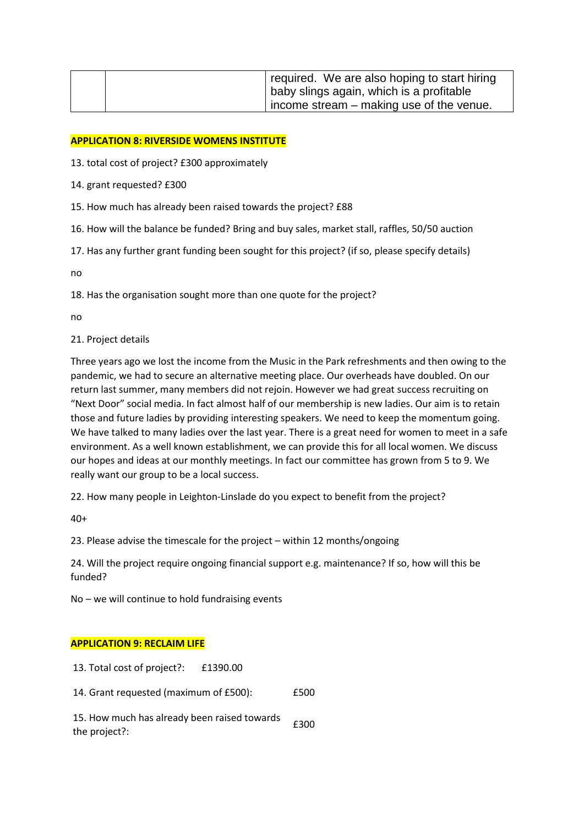| required. We are also hoping to start hiring     |  |
|--------------------------------------------------|--|
| baby slings again, which is a profitable         |  |
| $\vert$ income stream – making use of the venue. |  |

### **APPLICATION 8: RIVERSIDE WOMENS INSTITUTE**

13. total cost of project? £300 approximately

- 14. grant requested? £300
- 15. How much has already been raised towards the project? £88
- 16. How will the balance be funded? Bring and buy sales, market stall, raffles, 50/50 auction
- 17. Has any further grant funding been sought for this project? (if so, please specify details)

no

18. Has the organisation sought more than one quote for the project?

no

#### 21. Project details

Three years ago we lost the income from the Music in the Park refreshments and then owing to the pandemic, we had to secure an alternative meeting place. Our overheads have doubled. On our return last summer, many members did not rejoin. However we had great success recruiting on "Next Door" social media. In fact almost half of our membership is new ladies. Our aim is to retain those and future ladies by providing interesting speakers. We need to keep the momentum going. We have talked to many ladies over the last year. There is a great need for women to meet in a safe environment. As a well known establishment, we can provide this for all local women. We discuss our hopes and ideas at our monthly meetings. In fact our committee has grown from 5 to 9. We really want our group to be a local success.

22. How many people in Leighton-Linslade do you expect to benefit from the project?

40+

23. Please advise the timescale for the project – within 12 months/ongoing

24. Will the project require ongoing financial support e.g. maintenance? If so, how will this be funded?

No – we will continue to hold fundraising events

### **APPLICATION 9: RECLAIM LIFE**

13. Total cost of project?: £1390.00

14. Grant requested (maximum of £500): £500

15. How much has already been raised towards <br>the project?: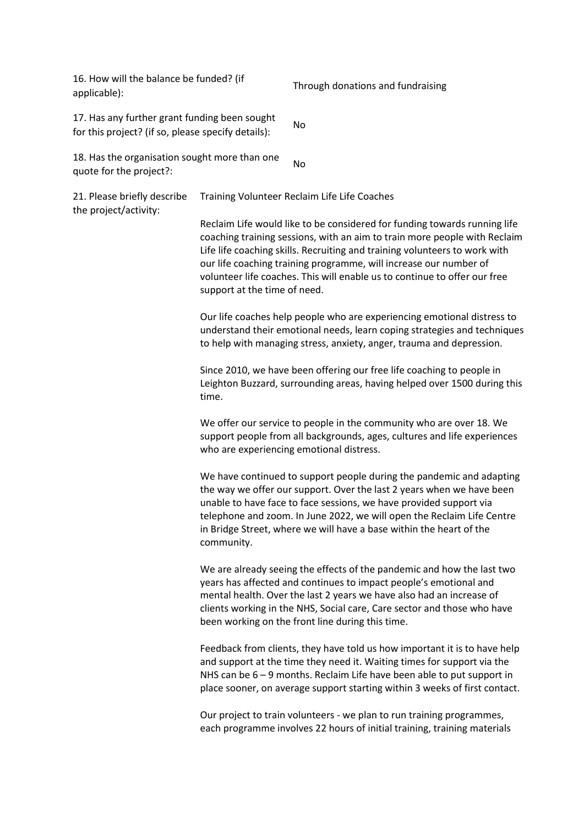16. How will the balance be funded? (if applicable):<br>applicable): Through donations and fundraising 17. Has any further grant funding been sought for this project? (if so, please specify details):

18. Has the organisation sought more than one quote for the project?:

21. Please briefly describe the project/activity: Training Volunteer Reclaim Life Life Coaches Reclaim Life would like to be considered for funding towards running life coaching training sessions, with an aim to train more people with Reclaim Life life coaching skills. Recruiting and training volunteers to work with

our life coaching training programme, will increase our number of volunteer life coaches. This will enable us to continue to offer our free support at the time of need.

Our life coaches help people who are experiencing emotional distress to understand their emotional needs, learn coping strategies and techniques to help with managing stress, anxiety, anger, trauma and depression.

Since 2010, we have been offering our free life coaching to people in Leighton Buzzard, surrounding areas, having helped over 1500 during this time.

We offer our service to people in the community who are over 18. We support people from all backgrounds, ages, cultures and life experiences who are experiencing emotional distress.

We have continued to support people during the pandemic and adapting the way we offer our support. Over the last 2 years when we have been unable to have face to face sessions, we have provided support via telephone and zoom. In June 2022, we will open the Reclaim Life Centre in Bridge Street, where we will have a base within the heart of the community.

We are already seeing the effects of the pandemic and how the last two years has affected and continues to impact people's emotional and mental health. Over the last 2 years we have also had an increase of clients working in the NHS, Social care, Care sector and those who have been working on the front line during this time.

Feedback from clients, they have told us how important it is to have help and support at the time they need it. Waiting times for support via the NHS can be 6 – 9 months. Reclaim Life have been able to put support in place sooner, on average support starting within 3 weeks of first contact.

Our project to train volunteers - we plan to run training programmes, each programme involves 22 hours of initial training, training materials